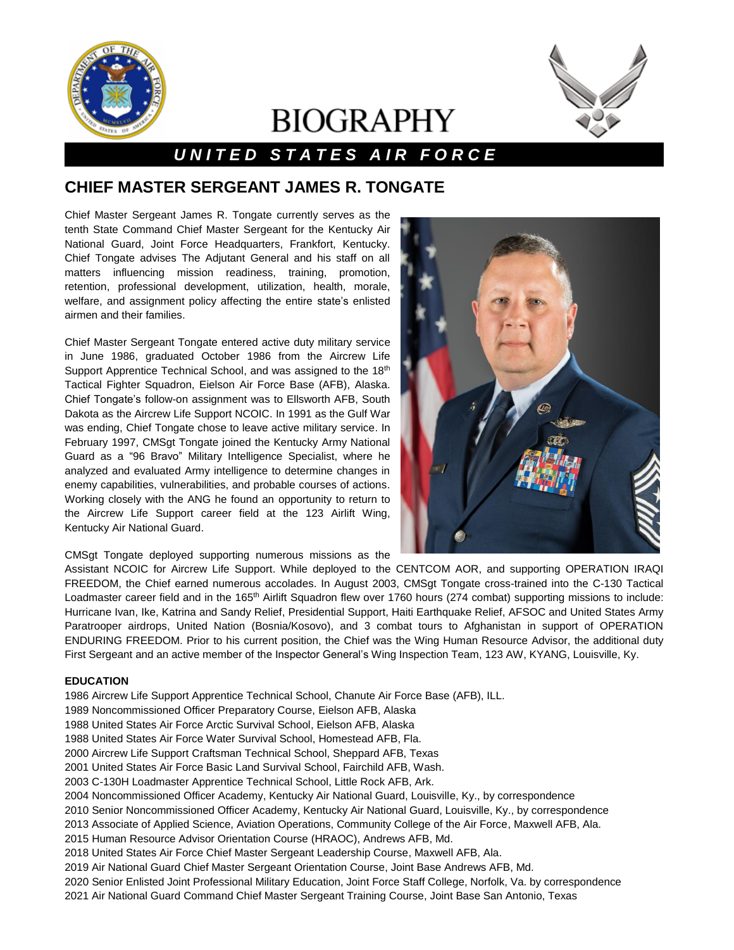

# **BIOGRAPHY**



## *U N I T E D S T A T E S A I R F O R C E*

### **CHIEF MASTER SERGEANT JAMES R. TONGATE**

Chief Master Sergeant James R. Tongate currently serves as the tenth State Command Chief Master Sergeant for the Kentucky Air National Guard, Joint Force Headquarters, Frankfort, Kentucky. Chief Tongate advises The Adjutant General and his staff on all matters influencing mission readiness, training, promotion, retention, professional development, utilization, health, morale, welfare, and assignment policy affecting the entire state's enlisted airmen and their families.

Chief Master Sergeant Tongate entered active duty military service in June 1986, graduated October 1986 from the Aircrew Life Support Apprentice Technical School, and was assigned to the 18<sup>th</sup> Tactical Fighter Squadron, Eielson Air Force Base (AFB), Alaska. Chief Tongate's follow-on assignment was to Ellsworth AFB, South Dakota as the Aircrew Life Support NCOIC. In 1991 as the Gulf War was ending, Chief Tongate chose to leave active military service. In February 1997, CMSgt Tongate joined the Kentucky Army National Guard as a "96 Bravo" Military Intelligence Specialist, where he analyzed and evaluated Army intelligence to determine changes in enemy capabilities, vulnerabilities, and probable courses of actions. Working closely with the ANG he found an opportunity to return to the Aircrew Life Support career field at the 123 Airlift Wing, Kentucky Air National Guard.



CMSgt Tongate deployed supporting numerous missions as the

Assistant NCOIC for Aircrew Life Support. While deployed to the CENTCOM AOR, and supporting OPERATION IRAQI FREEDOM, the Chief earned numerous accolades. In August 2003, CMSgt Tongate cross-trained into the C-130 Tactical Loadmaster career field and in the 165<sup>th</sup> Airlift Squadron flew over 1760 hours (274 combat) supporting missions to include: Hurricane Ivan, Ike, Katrina and Sandy Relief, Presidential Support, Haiti Earthquake Relief, AFSOC and United States Army Paratrooper airdrops, United Nation (Bosnia/Kosovo), and 3 combat tours to Afghanistan in support of OPERATION ENDURING FREEDOM. Prior to his current position, the Chief was the Wing Human Resource Advisor, the additional duty First Sergeant and an active member of the Inspector General's Wing Inspection Team, 123 AW, KYANG, Louisville, Ky.

#### **EDUCATION**

- 1986 Aircrew Life Support Apprentice Technical School, Chanute Air Force Base (AFB), ILL.
- 1989 Noncommissioned Officer Preparatory Course, Eielson AFB, Alaska
- 1988 United States Air Force Arctic Survival School, Eielson AFB, Alaska
- 1988 United States Air Force Water Survival School, Homestead AFB, Fla.
- 2000 Aircrew Life Support Craftsman Technical School, Sheppard AFB, Texas
- 2001 United States Air Force Basic Land Survival School, Fairchild AFB, Wash.
- 2003 C-130H Loadmaster Apprentice Technical School, Little Rock AFB, Ark.
- 2004 Noncommissioned Officer Academy, Kentucky Air National Guard, Louisville, Ky., by correspondence
- 2010 Senior Noncommissioned Officer Academy, Kentucky Air National Guard, Louisville, Ky., by correspondence
- 2013 Associate of Applied Science, Aviation Operations, Community College of the Air Force, Maxwell AFB, Ala.
- 2015 Human Resource Advisor Orientation Course (HRAOC), Andrews AFB, Md.
- 2018 United States Air Force Chief Master Sergeant Leadership Course, Maxwell AFB, Ala.
- 2019 Air National Guard Chief Master Sergeant Orientation Course, Joint Base Andrews AFB, Md.
- 2020 Senior Enlisted Joint Professional Military Education, Joint Force Staff College, Norfolk, Va. by correspondence
- 2021 Air National Guard Command Chief Master Sergeant Training Course, Joint Base San Antonio, Texas